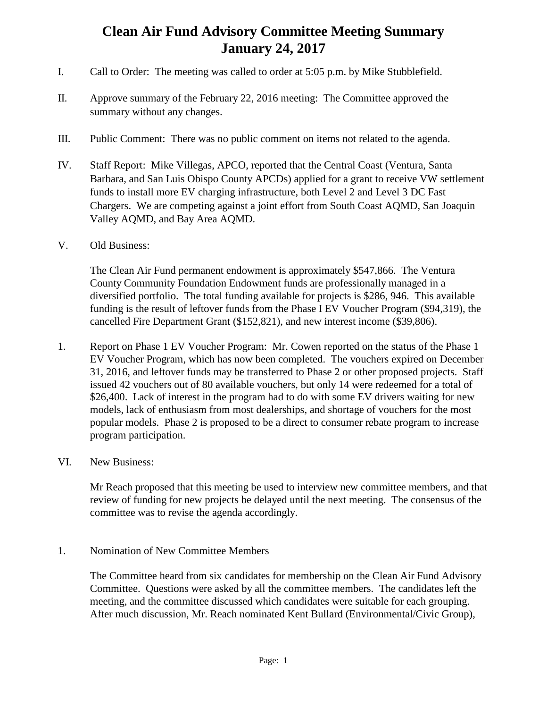## **Clean Air Fund Advisory Committee Meeting Summary January 24, 2017**

- I. Call to Order: The meeting was called to order at 5:05 p.m. by Mike Stubblefield.
- II. Approve summary of the February 22, 2016 meeting: The Committee approved the summary without any changes.
- III. Public Comment: There was no public comment on items not related to the agenda.
- IV. Staff Report: Mike Villegas, APCO, reported that the Central Coast (Ventura, Santa Barbara, and San Luis Obispo County APCDs) applied for a grant to receive VW settlement funds to install more EV charging infrastructure, both Level 2 and Level 3 DC Fast Chargers. We are competing against a joint effort from South Coast AQMD, San Joaquin Valley AQMD, and Bay Area AQMD.
- V. Old Business:

The Clean Air Fund permanent endowment is approximately \$547,866. The Ventura County Community Foundation Endowment funds are professionally managed in a diversified portfolio. The total funding available for projects is \$286, 946. This available funding is the result of leftover funds from the Phase I EV Voucher Program (\$94,319), the cancelled Fire Department Grant (\$152,821), and new interest income (\$39,806).

- 1. Report on Phase 1 EV Voucher Program: Mr. Cowen reported on the status of the Phase 1 EV Voucher Program, which has now been completed. The vouchers expired on December 31, 2016, and leftover funds may be transferred to Phase 2 or other proposed projects. Staff issued 42 vouchers out of 80 available vouchers, but only 14 were redeemed for a total of \$26,400. Lack of interest in the program had to do with some EV drivers waiting for new models, lack of enthusiasm from most dealerships, and shortage of vouchers for the most popular models. Phase 2 is proposed to be a direct to consumer rebate program to increase program participation.
- VI. New Business:

Mr Reach proposed that this meeting be used to interview new committee members, and that review of funding for new projects be delayed until the next meeting. The consensus of the committee was to revise the agenda accordingly.

1. Nomination of New Committee Members

The Committee heard from six candidates for membership on the Clean Air Fund Advisory Committee. Questions were asked by all the committee members. The candidates left the meeting, and the committee discussed which candidates were suitable for each grouping. After much discussion, Mr. Reach nominated Kent Bullard (Environmental/Civic Group),